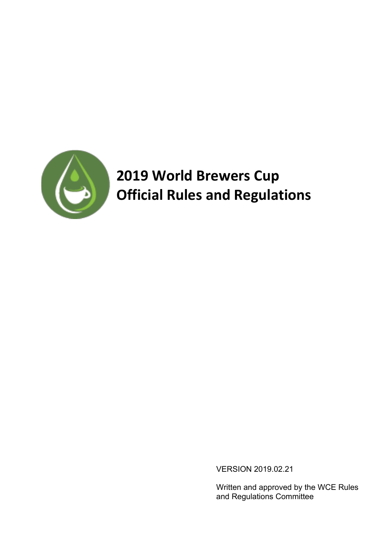

# **2019 World Brewers Cup Official Rules and Regulations**

VERSION 2019.02.21

Written and approved by the WCE Rules and Regulations Committee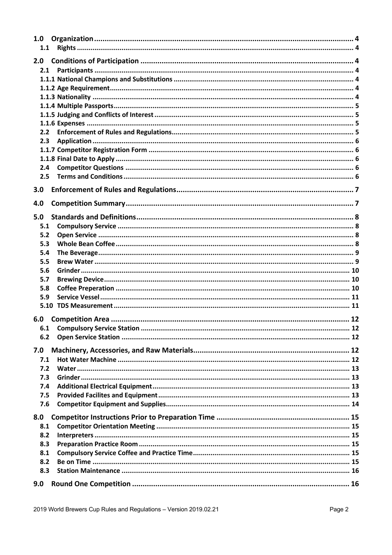| 1.0<br>1.1 |  |
|------------|--|
|            |  |
| 2.0<br>2.1 |  |
|            |  |
|            |  |
|            |  |
|            |  |
|            |  |
|            |  |
| 2.2        |  |
| 2.3        |  |
|            |  |
|            |  |
| 2.4        |  |
| 2.5        |  |
| 3.0        |  |
|            |  |
| 4.0        |  |
| 5.0        |  |
| 5.1        |  |
| 5.2        |  |
| 5.3        |  |
| 5.4        |  |
| 5.5        |  |
| 5.6        |  |
| 5.7        |  |
| 5.8        |  |
| 5.9        |  |
|            |  |
| 6.0        |  |
|            |  |
| 6.2        |  |
|            |  |
| 7.0        |  |
| 7.1        |  |
| 7.2        |  |
| 7.3        |  |
| 7.4<br>7.5 |  |
| 7.6        |  |
|            |  |
| 8.0        |  |
| 8.1        |  |
| 8.2        |  |
| 8.3        |  |
| 8.1        |  |
| 8.2        |  |
| 8.3        |  |
| 9.0        |  |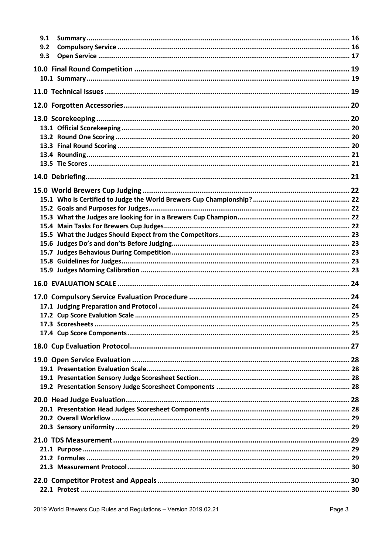| 9.1<br>9.2<br>9.3 |  |
|-------------------|--|
|                   |  |
|                   |  |
|                   |  |
|                   |  |
|                   |  |
|                   |  |
|                   |  |
|                   |  |
|                   |  |
|                   |  |
|                   |  |
|                   |  |
|                   |  |
|                   |  |
|                   |  |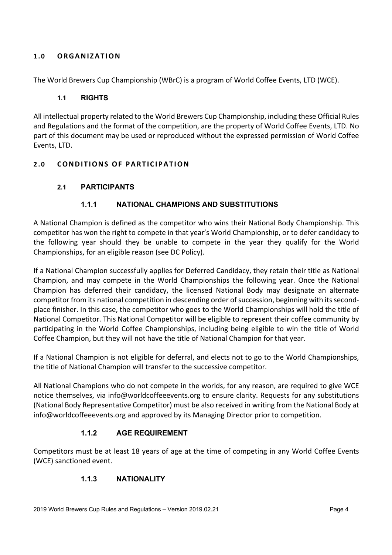## **1.0 ORGANIZATION**

The World Brewers Cup Championship (WBrC) is a program of World Coffee Events, LTD (WCE).

## **1.1 RIGHTS**

All intellectual property related to the World Brewers Cup Championship, including these Official Rules and Regulations and the format of the competition, are the property of World Coffee Events, LTD. No part of this document may be used or reproduced without the expressed permission of World Coffee Events, LTD.

## **2.0 CONDITIONS OF PARTICIPATION**

# **2.1 PARTICIPANTS**

# **1.1.1 NATIONAL CHAMPIONS AND SUBSTITUTIONS**

A National Champion is defined as the competitor who wins their National Body Championship. This competitor has won the right to compete in that year's World Championship, or to defer candidacy to the following year should they be unable to compete in the year they qualify for the World Championships, for an eligible reason (see DC Policy).

If a National Champion successfully applies for Deferred Candidacy, they retain their title as National Champion, and may compete in the World Championships the following year. Once the National Champion has deferred their candidacy, the licensed National Body may designate an alternate competitor from its national competition in descending order of succession, beginning with its secondplace finisher. In this case, the competitor who goes to the World Championships will hold the title of National Competitor. This National Competitor will be eligible to represent their coffee community by participating in the World Coffee Championships, including being eligible to win the title of World Coffee Champion, but they will not have the title of National Champion for that year.

If a National Champion is not eligible for deferral, and elects not to go to the World Championships, the title of National Champion will transfer to the successive competitor.

All National Champions who do not compete in the worlds, for any reason, are required to give WCE notice themselves, via info@worldcoffeeevents.org to ensure clarity. Requests for any substitutions (National Body Representative Competitor) must be also received in writing from the National Body at info@worldcoffeeevents.org and approved by its Managing Director prior to competition.

## **1.1.2 AGE REQUIREMENT**

Competitors must be at least 18 years of age at the time of competing in any World Coffee Events (WCE) sanctioned event.

## **1.1.3 NATIONALITY**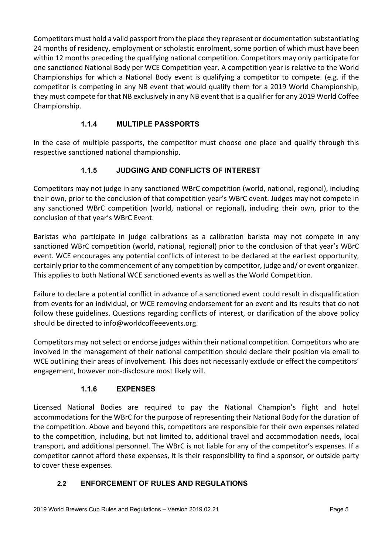Competitors must hold a valid passport from the place they represent or documentation substantiating 24 months of residency, employment or scholastic enrolment, some portion of which must have been within 12 months preceding the qualifying national competition. Competitors may only participate for one sanctioned National Body per WCE Competition year. A competition year is relative to the World Championships for which a National Body event is qualifying a competitor to compete. (e.g. if the competitor is competing in any NB event that would qualify them for a 2019 World Championship, they must compete for that NB exclusively in any NB event that is a qualifier for any 2019 World Coffee Championship.

# **1.1.4 MULTIPLE PASSPORTS**

In the case of multiple passports, the competitor must choose one place and qualify through this respective sanctioned national championship.

# **1.1.5 JUDGING AND CONFLICTS OF INTEREST**

Competitors may not judge in any sanctioned WBrC competition (world, national, regional), including their own, prior to the conclusion of that competition year's WBrC event. Judges may not compete in any sanctioned WBrC competition (world, national or regional), including their own, prior to the conclusion of that year's WBrC Event.

Baristas who participate in judge calibrations as a calibration barista may not compete in any sanctioned WBrC competition (world, national, regional) prior to the conclusion of that year's WBrC event. WCE encourages any potential conflicts of interest to be declared at the earliest opportunity, certainly prior to the commencement of any competition by competitor, judge and/ or event organizer. This applies to both National WCE sanctioned events as well as the World Competition.

Failure to declare a potential conflict in advance of a sanctioned event could result in disqualification from events for an individual, or WCE removing endorsement for an event and its results that do not follow these guidelines. Questions regarding conflicts of interest, or clarification of the above policy should be directed to info@worldcoffeeevents.org.

Competitors may not select or endorse judges within their national competition. Competitors who are involved in the management of their national competition should declare their position via email to WCE outlining their areas of involvement. This does not necessarily exclude or effect the competitors' engagement, however non-disclosure most likely will.

# **1.1.6 EXPENSES**

Licensed National Bodies are required to pay the National Champion's flight and hotel accommodations for the WBrC for the purpose of representing their National Body for the duration of the competition. Above and beyond this, competitors are responsible for their own expenses related to the competition, including, but not limited to, additional travel and accommodation needs, local transport, and additional personnel. The WBrC is not liable for any of the competitor's expenses. If a competitor cannot afford these expenses, it is their responsibility to find a sponsor, or outside party to cover these expenses.

# **2.2 ENFORCEMENT OF RULES AND REGULATIONS**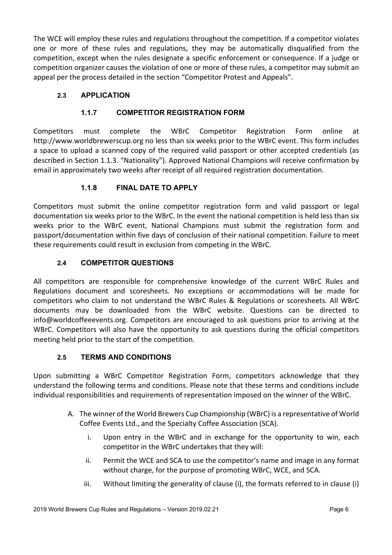The WCE will employ these rules and regulations throughout the competition. If a competitor violates one or more of these rules and regulations, they may be automatically disqualified from the competition, except when the rules designate a specific enforcement or consequence. If a judge or competition organizer causes the violation of one or more of these rules, a competitor may submit an appeal per the process detailed in the section "Competitor Protest and Appeals".

# **2.3 APPLICATION**

# **1.1.7 COMPETITOR REGISTRATION FORM**

Competitors must complete the WBrC Competitor Registration Form online at http://www.worldbrewerscup.org no less than six weeks prior to the WBrC event. This form includes a space to upload a scanned copy of the required valid passport or other accepted credentials (as described in Section 1.1.3. "Nationality"). Approved National Champions will receive confirmation by email in approximately two weeks after receipt of all required registration documentation.

# **1.1.8 FINAL DATE TO APPLY**

Competitors must submit the online competitor registration form and valid passport or legal documentation six weeks prior to the WBrC. In the event the national competition is held less than six weeks prior to the WBrC event, National Champions must submit the registration form and passport/documentation within five days of conclusion of their national competition. Failure to meet these requirements could result in exclusion from competing in the WBrC.

# **2.4 COMPETITOR QUESTIONS**

All competitors are responsible for comprehensive knowledge of the current WBrC Rules and Regulations document and scoresheets. No exceptions or accommodations will be made for competitors who claim to not understand the WBrC Rules & Regulations or scoresheets. All WBrC documents may be downloaded from the WBrC website. Questions can be directed to info@worldcoffeeevents.org. Competitors are encouraged to ask questions prior to arriving at the WBrC. Competitors will also have the opportunity to ask questions during the official competitors meeting held prior to the start of the competition.

## **2.5 TERMS AND CONDITIONS**

Upon submitting a WBrC Competitor Registration Form, competitors acknowledge that they understand the following terms and conditions. Please note that these terms and conditions include individual responsibilities and requirements of representation imposed on the winner of the WBrC.

- A. The winner of the World Brewers Cup Championship (WBrC) is a representative of World Coffee Events Ltd., and the Specialty Coffee Association (SCA).
	- i. Upon entry in the WBrC and in exchange for the opportunity to win, each competitor in the WBrC undertakes that they will:
	- ii. Permit the WCE and SCA to use the competitor's name and image in any format without charge, for the purpose of promoting WBrC, WCE, and SCA.
	- iii. Without limiting the generality of clause (i), the formats referred to in clause (i)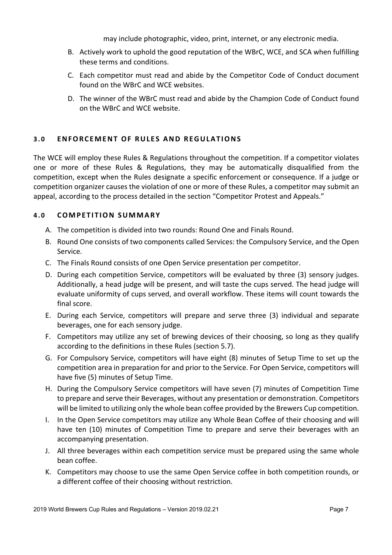may include photographic, video, print, internet, or any electronic media.

- B. Actively work to uphold the good reputation of the WBrC, WCE, and SCA when fulfilling these terms and conditions.
- C. Each competitor must read and abide by the Competitor Code of Conduct document found on the WBrC and WCE websites.
- D. The winner of the WBrC must read and abide by the Champion Code of Conduct found on the WBrC and WCE website.

# **3.0 ENFORCEMENT OF RULES AND REGULATIONS**

The WCE will employ these Rules & Regulations throughout the competition. If a competitor violates one or more of these Rules & Regulations, they may be automatically disqualified from the competition, except when the Rules designate a specific enforcement or consequence. If a judge or competition organizer causes the violation of one or more of these Rules, a competitor may submit an appeal, according to the process detailed in the section "Competitor Protest and Appeals."

# **4.0 COMPETITION SUMMARY**

- A. The competition is divided into two rounds: Round One and Finals Round.
- B. Round One consists of two components called Services: the Compulsory Service, and the Open Service.
- C. The Finals Round consists of one Open Service presentation per competitor.
- D. During each competition Service, competitors will be evaluated by three (3) sensory judges. Additionally, a head judge will be present, and will taste the cups served. The head judge will evaluate uniformity of cups served, and overall workflow. These items will count towards the final score.
- E. During each Service, competitors will prepare and serve three (3) individual and separate beverages, one for each sensory judge.
- F. Competitors may utilize any set of brewing devices of their choosing, so long as they qualify according to the definitions in these Rules (section 5.7).
- G. For Compulsory Service, competitors will have eight (8) minutes of Setup Time to set up the competition area in preparation for and prior to the Service. For Open Service, competitors will have five (5) minutes of Setup Time.
- H. During the Compulsory Service competitors will have seven (7) minutes of Competition Time to prepare and serve their Beverages, without any presentation or demonstration. Competitors will be limited to utilizing only the whole bean coffee provided by the Brewers Cup competition.
- I. In the Open Service competitors may utilize any Whole Bean Coffee of their choosing and will have ten (10) minutes of Competition Time to prepare and serve their beverages with an accompanying presentation.
- J. All three beverages within each competition service must be prepared using the same whole bean coffee.
- K. Competitors may choose to use the same Open Service coffee in both competition rounds, or a different coffee of their choosing without restriction.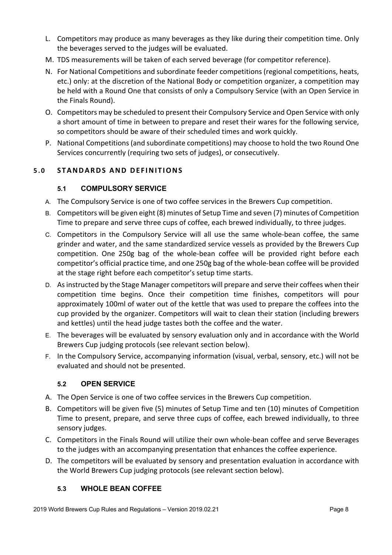- L. Competitors may produce as many beverages as they like during their competition time. Only the beverages served to the judges will be evaluated.
- M. TDS measurements will be taken of each served beverage (for competitor reference).
- N. For National Competitions and subordinate feeder competitions (regional competitions, heats, etc.) only: at the discretion of the National Body or competition organizer, a competition may be held with a Round One that consists of only a Compulsory Service (with an Open Service in the Finals Round).
- O. Competitors may be scheduled to present their Compulsory Service and Open Service with only a short amount of time in between to prepare and reset their wares for the following service, so competitors should be aware of their scheduled times and work quickly.
- P. National Competitions (and subordinate competitions) may choose to hold the two Round One Services concurrently (requiring two sets of judges), or consecutively.

# **5.0 STANDARDS AND DEFINI TIONS**

## **5.1 COMPULSORY SERVICE**

- A. The Compulsory Service is one of two coffee services in the Brewers Cup competition.
- B. Competitors will be given eight (8) minutes of Setup Time and seven (7) minutes of Competition Time to prepare and serve three cups of coffee, each brewed individually, to three judges.
- C. Competitors in the Compulsory Service will all use the same whole-bean coffee, the same grinder and water, and the same standardized service vessels as provided by the Brewers Cup competition. One 250g bag of the whole-bean coffee will be provided right before each competitor's official practice time, and one 250g bag of the whole-bean coffee will be provided at the stage right before each competitor's setup time starts.
- D. As instructed by the Stage Manager competitors will prepare and serve their coffees when their competition time begins. Once their competition time finishes, competitors will pour approximately 100ml of water out of the kettle that was used to prepare the coffees into the cup provided by the organizer. Competitors will wait to clean their station (including brewers and kettles) until the head judge tastes both the coffee and the water.
- E. The beverages will be evaluated by sensory evaluation only and in accordance with the World Brewers Cup judging protocols (see relevant section below).
- F. In the Compulsory Service, accompanying information (visual, verbal, sensory, etc.) will not be evaluated and should not be presented.

## **5.2 OPEN SERVICE**

- A. The Open Service is one of two coffee services in the Brewers Cup competition.
- B. Competitors will be given five (5) minutes of Setup Time and ten (10) minutes of Competition Time to present, prepare, and serve three cups of coffee, each brewed individually, to three sensory judges.
- C. Competitors in the Finals Round will utilize their own whole-bean coffee and serve Beverages to the judges with an accompanying presentation that enhances the coffee experience.
- D. The competitors will be evaluated by sensory and presentation evaluation in accordance with the World Brewers Cup judging protocols (see relevant section below).

## **5.3 WHOLE BEAN COFFEE**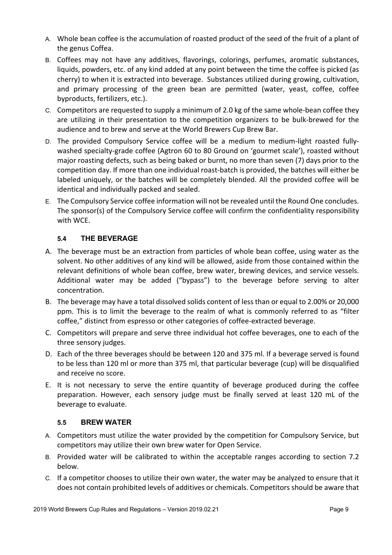- A. Whole bean coffee is the accumulation of roasted product of the seed of the fruit of a plant of the genus Coffea.
- B. Coffees may not have any additives, flavorings, colorings, perfumes, aromatic substances, liquids, powders, etc. of any kind added at any point between the time the coffee is picked (as cherry) to when it is extracted into beverage. Substances utilized during growing, cultivation, and primary processing of the green bean are permitted (water, yeast, coffee, coffee byproducts, fertilizers, etc.).
- C. Competitors are requested to supply a minimum of 2.0 kg of the same whole-bean coffee they are utilizing in their presentation to the competition organizers to be bulk-brewed for the audience and to brew and serve at the World Brewers Cup Brew Bar.
- D. The provided Compulsory Service coffee will be a medium to medium-light roasted fullywashed specialty-grade coffee (Agtron 60 to 80 Ground on 'gourmet scale'), roasted without major roasting defects, such as being baked or burnt, no more than seven (7) days prior to the competition day. If more than one individual roast-batch is provided, the batches will either be labeled uniquely, or the batches will be completely blended. All the provided coffee will be identical and individually packed and sealed.
- E. The Compulsory Service coffee information will not be revealed until the Round One concludes. The sponsor(s) of the Compulsory Service coffee will confirm the confidentiality responsibility with WCE.

# **5.4 THE BEVERAGE**

- A. The beverage must be an extraction from particles of whole bean coffee, using water as the solvent. No other additives of any kind will be allowed, aside from those contained within the relevant definitions of whole bean coffee, brew water, brewing devices, and service vessels. Additional water may be added ("bypass") to the beverage before serving to alter concentration.
- B. The beverage may have a total dissolved solids content of less than or equal to 2.00% or 20,000 ppm. This is to limit the beverage to the realm of what is commonly referred to as "filter coffee," distinct from espresso or other categories of coffee-extracted beverage.
- C. Competitors will prepare and serve three individual hot coffee beverages, one to each of the three sensory judges.
- D. Each of the three beverages should be between 120 and 375 ml. If a beverage served is found to be less than 120 ml or more than 375 ml, that particular beverage (cup) will be disqualified and receive no score.
- E. It is not necessary to serve the entire quantity of beverage produced during the coffee preparation. However, each sensory judge must be finally served at least 120 mL of the beverage to evaluate.

## **5.5 BREW WATER**

- A. Competitors must utilize the water provided by the competition for Compulsory Service, but competitors may utilize their own brew water for Open Service.
- B. Provided water will be calibrated to within the acceptable ranges according to section 7.2 below.
- C. If a competitor chooses to utilize their own water, the water may be analyzed to ensure that it does not contain prohibited levels of additives or chemicals. Competitors should be aware that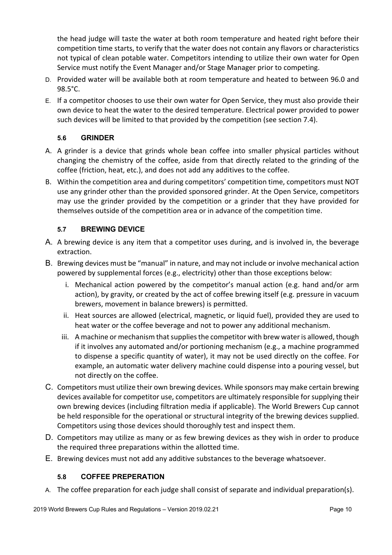the head judge will taste the water at both room temperature and heated right before their competition time starts, to verify that the water does not contain any flavors or characteristics not typical of clean potable water. Competitors intending to utilize their own water for Open Service must notify the Event Manager and/or Stage Manager prior to competing.

- D. Provided water will be available both at room temperature and heated to between 96.0 and 98.5°C.
- E. If a competitor chooses to use their own water for Open Service, they must also provide their own device to heat the water to the desired temperature. Electrical power provided to power such devices will be limited to that provided by the competition (see section 7.4).

# **5.6 GRINDER**

- A. A grinder is a device that grinds whole bean coffee into smaller physical particles without changing the chemistry of the coffee, aside from that directly related to the grinding of the coffee (friction, heat, etc.), and does not add any additives to the coffee.
- B. Within the competition area and during competitors' competition time, competitors must NOT use any grinder other than the provided sponsored grinder. At the Open Service, competitors may use the grinder provided by the competition or a grinder that they have provided for themselves outside of the competition area or in advance of the competition time.

# **5.7 BREWING DEVICE**

- A. A brewing device is any item that a competitor uses during, and is involved in, the beverage extraction.
- B. Brewing devices must be "manual" in nature, and may not include or involve mechanical action powered by supplemental forces (e.g., electricity) other than those exceptions below:
	- i. Mechanical action powered by the competitor's manual action (e.g. hand and/or arm action), by gravity, or created by the act of coffee brewing itself (e.g. pressure in vacuum brewers, movement in balance brewers) is permitted.
	- ii. Heat sources are allowed (electrical, magnetic, or liquid fuel), provided they are used to heat water or the coffee beverage and not to power any additional mechanism.
	- iii. A machine or mechanism that supplies the competitor with brew water is allowed, though if it involves any automated and/or portioning mechanism (e.g., a machine programmed to dispense a specific quantity of water), it may not be used directly on the coffee. For example, an automatic water delivery machine could dispense into a pouring vessel, but not directly on the coffee.
- C. Competitors must utilize their own brewing devices. While sponsors may make certain brewing devices available for competitor use, competitors are ultimately responsible for supplying their own brewing devices (including filtration media if applicable). The World Brewers Cup cannot be held responsible for the operational or structural integrity of the brewing devices supplied. Competitors using those devices should thoroughly test and inspect them.
- D. Competitors may utilize as many or as few brewing devices as they wish in order to produce the required three preparations within the allotted time.
- E. Brewing devices must not add any additive substances to the beverage whatsoever.

## **5.8 COFFEE PREPERATION**

A. The coffee preparation for each judge shall consist of separate and individual preparation(s).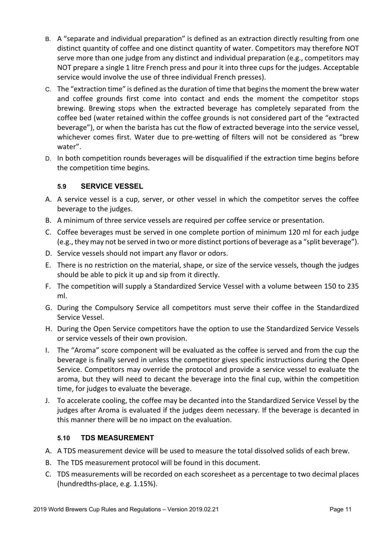- B. A "separate and individual preparation" is defined as an extraction directly resulting from one distinct quantity of coffee and one distinct quantity of water. Competitors may therefore NOT serve more than one judge from any distinct and individual preparation (e.g., competitors may NOT prepare a single 1 litre French press and pour it into three cups for the judges. Acceptable service would involve the use of three individual French presses).
- C. The "extraction time" is defined as the duration of time that begins the moment the brew water and coffee grounds first come into contact and ends the moment the competitor stops brewing. Brewing stops when the extracted beverage has completely separated from the coffee bed (water retained within the coffee grounds is not considered part of the "extracted beverage"), or when the barista has cut the flow of extracted beverage into the service vessel, whichever comes first. Water due to pre-wetting of filters will not be considered as "brew water".
- D. In both competition rounds beverages will be disqualified if the extraction time begins before the competition time begins.

## **5.9 SERVICE VESSEL**

- A. A service vessel is a cup, server, or other vessel in which the competitor serves the coffee beverage to the judges.
- B. A minimum of three service vessels are required per coffee service or presentation.
- C. Coffee beverages must be served in one complete portion of minimum 120 ml for each judge (e.g., they may not be served in two or more distinct portions of beverage as a "split beverage").
- D. Service vessels should not impart any flavor or odors.
- E. There is no restriction on the material, shape, or size of the service vessels, though the judges should be able to pick it up and sip from it directly.
- F. The competition will supply a Standardized Service Vessel with a volume between 150 to 235 ml.
- G. During the Compulsory Service all competitors must serve their coffee in the Standardized Service Vessel.
- H. During the Open Service competitors have the option to use the Standardized Service Vessels or service vessels of their own provision.
- I. The "Aroma" score component will be evaluated as the coffee is served and from the cup the beverage is finally served in unless the competitor gives specific instructions during the Open Service. Competitors may override the protocol and provide a service vessel to evaluate the aroma, but they will need to decant the beverage into the final cup, within the competition time, for judges to evaluate the beverage.
- J. To accelerate cooling, the coffee may be decanted into the Standardized Service Vessel by the judges after Aroma is evaluated if the judges deem necessary. If the beverage is decanted in this manner there will be no impact on the evaluation.

## **5.10 TDS MEASUREMENT**

- A. A TDS measurement device will be used to measure the total dissolved solids of each brew.
- B. The TDS measurement protocol will be found in this document.
- C. TDS measurements will be recorded on each scoresheet as a percentage to two decimal places (hundredths-place, e.g. 1.15%).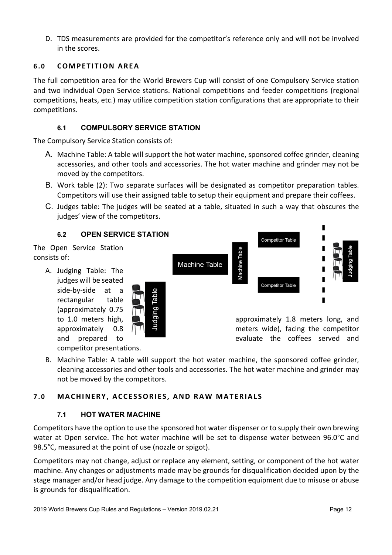D. TDS measurements are provided for the competitor's reference only and will not be involved in the scores.

## **6.0 COMPETITION AREA**

The full competition area for the World Brewers Cup will consist of one Compulsory Service station and two individual Open Service stations. National competitions and feeder competitions (regional competitions, heats, etc.) may utilize competition station configurations that are appropriate to their competitions.

# **6.1 COMPULSORY SERVICE STATION**

The Compulsory Service Station consists of:

- A. Machine Table: A table will support the hot water machine, sponsored coffee grinder, cleaning accessories, and other tools and accessories. The hot water machine and grinder may not be moved by the competitors.
- B. Work table (2): Two separate surfaces will be designated as competitor preparation tables. Competitors will use their assigned table to setup their equipment and prepare their coffees.
- C. Judges table: The judges will be seated at a table, situated in such a way that obscures the judges' view of the competitors.

## **6.2 OPEN SERVICE STATION**

The Open Service Station consists of:

> A. Judging Table: The judges will be seated side-by-side at a rectangular table (approximately 0.75

> > competitor presentations.





to 1.0 meters high,  $\Box$   $\Box$ approximately 0.8  $\Box$ and prepared to **the contract of the contract of the contract of the contract of the contract of the contract of the contract of the contract of the contract of the contract of the contract of the contract of the contract** 

B. Machine Table: A table will support the hot water machine, the sponsored coffee grinder, cleaning accessories and other tools and accessories. The hot water machine and grinder may not be moved by the competitors.

## **7.0 MACHINERY, ACCESSORI ES, AND RAW MATERIAL S**

## **7.1 HOT WATER MACHINE**

Competitors have the option to use the sponsored hot water dispenser or to supply their own brewing water at Open service. The hot water machine will be set to dispense water between 96.0°C and 98.5°C, measured at the point of use (nozzle or spigot).

Competitors may not change, adjust or replace any element, setting, or component of the hot water machine. Any changes or adjustments made may be grounds for disqualification decided upon by the stage manager and/or head judge. Any damage to the competition equipment due to misuse or abuse is grounds for disqualification.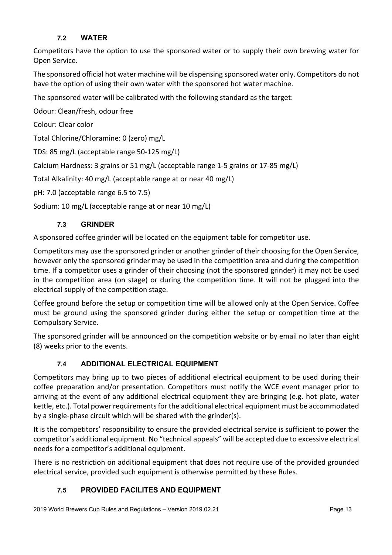# **7.2 WATER**

Competitors have the option to use the sponsored water or to supply their own brewing water for Open Service.

The sponsored official hot water machine will be dispensing sponsored water only. Competitors do not have the option of using their own water with the sponsored hot water machine.

The sponsored water will be calibrated with the following standard as the target:

Odour: Clean/fresh, odour free

Colour: Clear color

Total Chlorine/Chloramine: 0 (zero) mg/L

TDS: 85 mg/L (acceptable range 50-125 mg/L)

Calcium Hardness: 3 grains or 51 mg/L (acceptable range 1-5 grains or 17-85 mg/L)

Total Alkalinity: 40 mg/L (acceptable range at or near 40 mg/L)

pH: 7.0 (acceptable range 6.5 to 7.5)

Sodium: 10 mg/L (acceptable range at or near 10 mg/L)

## **7.3 GRINDER**

A sponsored coffee grinder will be located on the equipment table for competitor use.

Competitors may use the sponsored grinder or another grinder of their choosing for the Open Service, however only the sponsored grinder may be used in the competition area and during the competition time. If a competitor uses a grinder of their choosing (not the sponsored grinder) it may not be used in the competition area (on stage) or during the competition time. It will not be plugged into the electrical supply of the competition stage.

Coffee ground before the setup or competition time will be allowed only at the Open Service. Coffee must be ground using the sponsored grinder during either the setup or competition time at the Compulsory Service.

The sponsored grinder will be announced on the competition website or by email no later than eight (8) weeks prior to the events.

## **7.4 ADDITIONAL ELECTRICAL EQUIPMENT**

Competitors may bring up to two pieces of additional electrical equipment to be used during their coffee preparation and/or presentation. Competitors must notify the WCE event manager prior to arriving at the event of any additional electrical equipment they are bringing (e.g. hot plate, water kettle, etc.). Total power requirements for the additional electrical equipment must be accommodated by a single-phase circuit which will be shared with the grinder(s).

It is the competitors' responsibility to ensure the provided electrical service is sufficient to power the competitor's additional equipment. No "technical appeals" will be accepted due to excessive electrical needs for a competitor's additional equipment.

There is no restriction on additional equipment that does not require use of the provided grounded electrical service, provided such equipment is otherwise permitted by these Rules.

# **7.5 PROVIDED FACILITES AND EQUIPMENT**

2019 World Brewers Cup Rules and Regulations – Version 2019.02.21 Page 13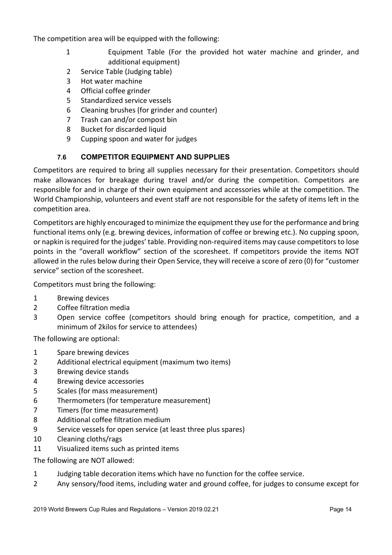The competition area will be equipped with the following:

- 1 Equipment Table (For the provided hot water machine and grinder, and additional equipment)
- 2 Service Table (Judging table)
- 3 Hot water machine
- 4 Official coffee grinder
- 5 Standardized service vessels
- 6 Cleaning brushes (for grinder and counter)
- 7 Trash can and/or compost bin
- 8 Bucket for discarded liquid
- 9 Cupping spoon and water for judges

# **7.6 COMPETITOR EQUIPMENT AND SUPPLIES**

Competitors are required to bring all supplies necessary for their presentation. Competitors should make allowances for breakage during travel and/or during the competition. Competitors are responsible for and in charge of their own equipment and accessories while at the competition. The World Championship, volunteers and event staff are not responsible for the safety of items left in the competition area.

Competitors are highly encouraged to minimize the equipment they use for the performance and bring functional items only (e.g. brewing devices, information of coffee or brewing etc.). No cupping spoon, or napkin is required for the judges' table. Providing non-required items may cause competitors to lose points in the "overall workflow" section of the scoresheet. If competitors provide the items NOT allowed in the rules below during their Open Service, they will receive a score of zero (0) for "customer service" section of the scoresheet.

Competitors must bring the following:

- 1 Brewing devices
- 2 Coffee filtration media
- 3 Open service coffee (competitors should bring enough for practice, competition, and a minimum of 2kilos for service to attendees)

The following are optional:

- 1 Spare brewing devices
- 2 Additional electrical equipment (maximum two items)
- 3 Brewing device stands
- 4 Brewing device accessories
- 5 Scales (for mass measurement)
- 6 Thermometers (for temperature measurement)
- 7 Timers (for time measurement)
- 8 Additional coffee filtration medium
- 9 Service vessels for open service (at least three plus spares)
- 10 Cleaning cloths/rags
- 11 Visualized items such as printed items
- The following are NOT allowed:
- 1 Judging table decoration items which have no function for the coffee service.
- 2 Any sensory/food items, including water and ground coffee, for judges to consume except for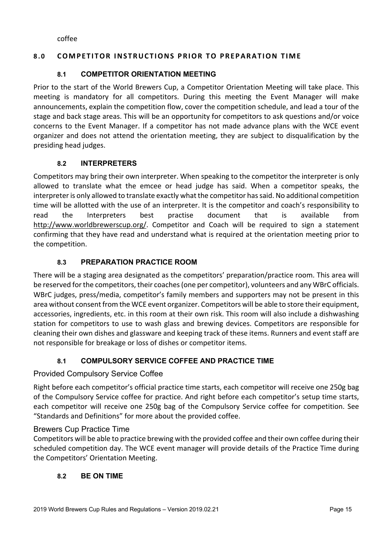coffee

## **8.0 COMPETITOR INSTRUCTIONS PRIOR TO PREPARATION TIME**

## **8.1 COMPETITOR ORIENTATION MEETING**

Prior to the start of the World Brewers Cup, a Competitor Orientation Meeting will take place. This meeting is mandatory for all competitors. During this meeting the Event Manager will make announcements, explain the competition flow, cover the competition schedule, and lead a tour of the stage and back stage areas. This will be an opportunity for competitors to ask questions and/or voice concerns to the Event Manager. If a competitor has not made advance plans with the WCE event organizer and does not attend the orientation meeting, they are subject to disqualification by the presiding head judges.

## **8.2 INTERPRETERS**

Competitors may bring their own interpreter. When speaking to the competitor the interpreter is only allowed to translate what the emcee or head judge has said. When a competitor speaks, the interpreter is only allowed to translate exactly what the competitor has said. No additional competition time will be allotted with the use of an interpreter. It is the competitor and coach's responsibility to read the Interpreters best practise document that is available from http://www.worldbrewerscup.org/. Competitor and Coach will be required to sign a statement confirming that they have read and understand what is required at the orientation meeting prior to the competition.

## **8.3 PREPARATION PRACTICE ROOM**

There will be a staging area designated as the competitors' preparation/practice room. This area will be reserved for the competitors, their coaches (one per competitor), volunteers and any WBrC officials. WBrC judges, press/media, competitor's family members and supporters may not be present in this area without consent from the WCE event organizer. Competitors will be able to store their equipment, accessories, ingredients, etc. in this room at their own risk. This room will also include a dishwashing station for competitors to use to wash glass and brewing devices. Competitors are responsible for cleaning their own dishes and glassware and keeping track of these items. Runners and event staff are not responsible for breakage or loss of dishes or competitor items.

## **8.1 COMPULSORY SERVICE COFFEE AND PRACTICE TIME**

#### Provided Compulsory Service Coffee

Right before each competitor's official practice time starts, each competitor will receive one 250g bag of the Compulsory Service coffee for practice. And right before each competitor's setup time starts, each competitor will receive one 250g bag of the Compulsory Service coffee for competition. See "Standards and Definitions" for more about the provided coffee.

#### Brewers Cup Practice Time

Competitors will be able to practice brewing with the provided coffee and their own coffee during their scheduled competition day. The WCE event manager will provide details of the Practice Time during the Competitors' Orientation Meeting.

#### **8.2 BE ON TIME**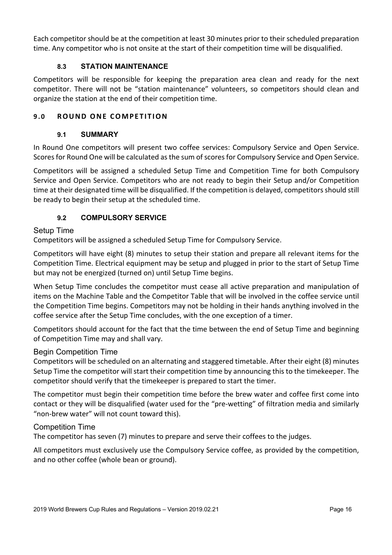Each competitor should be at the competition at least 30 minutes prior to their scheduled preparation time. Any competitor who is not onsite at the start of their competition time will be disqualified.

# **8.3 STATION MAINTENANCE**

Competitors will be responsible for keeping the preparation area clean and ready for the next competitor. There will not be "station maintenance" volunteers, so competitors should clean and organize the station at the end of their competition time.

# **9.0 ROUND ONE COMPETITION**

## **9.1 SUMMARY**

In Round One competitors will present two coffee services: Compulsory Service and Open Service. Scores for Round One will be calculated as the sum of scores for Compulsory Service and Open Service.

Competitors will be assigned a scheduled Setup Time and Competition Time for both Compulsory Service and Open Service. Competitors who are not ready to begin their Setup and/or Competition time at their designated time will be disqualified. If the competition is delayed, competitors should still be ready to begin their setup at the scheduled time.

# **9.2 COMPULSORY SERVICE**

## Setup Time

Competitors will be assigned a scheduled Setup Time for Compulsory Service.

Competitors will have eight (8) minutes to setup their station and prepare all relevant items for the Competition Time. Electrical equipment may be setup and plugged in prior to the start of Setup Time but may not be energized (turned on) until Setup Time begins.

When Setup Time concludes the competitor must cease all active preparation and manipulation of items on the Machine Table and the Competitor Table that will be involved in the coffee service until the Competition Time begins. Competitors may not be holding in their hands anything involved in the coffee service after the Setup Time concludes, with the one exception of a timer.

Competitors should account for the fact that the time between the end of Setup Time and beginning of Competition Time may and shall vary.

## Begin Competition Time

Competitors will be scheduled on an alternating and staggered timetable. After their eight (8) minutes Setup Time the competitor will start their competition time by announcing this to the timekeeper. The competitor should verify that the timekeeper is prepared to start the timer.

The competitor must begin their competition time before the brew water and coffee first come into contact or they will be disqualified (water used for the "pre-wetting" of filtration media and similarly "non-brew water" will not count toward this).

## Competition Time

The competitor has seven (7) minutes to prepare and serve their coffees to the judges.

All competitors must exclusively use the Compulsory Service coffee, as provided by the competition, and no other coffee (whole bean or ground).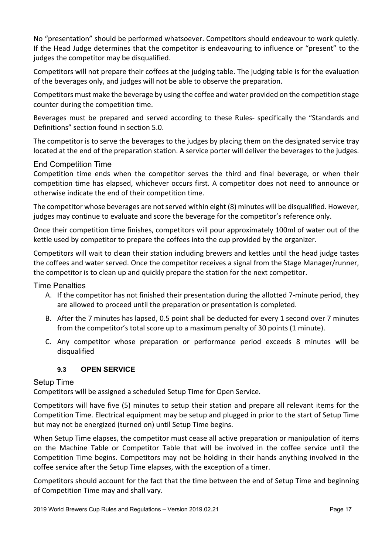No "presentation" should be performed whatsoever. Competitors should endeavour to work quietly. If the Head Judge determines that the competitor is endeavouring to influence or "present" to the judges the competitor may be disqualified.

Competitors will not prepare their coffees at the judging table. The judging table is for the evaluation of the beverages only, and judges will not be able to observe the preparation.

Competitors must make the beverage by using the coffee and water provided on the competition stage counter during the competition time.

Beverages must be prepared and served according to these Rules- specifically the "Standards and Definitions" section found in section 5.0.

The competitor is to serve the beverages to the judges by placing them on the designated service tray located at the end of the preparation station. A service porter will deliver the beverages to the judges.

## End Competition Time

Competition time ends when the competitor serves the third and final beverage, or when their competition time has elapsed, whichever occurs first. A competitor does not need to announce or otherwise indicate the end of their competition time.

The competitor whose beverages are not served within eight (8) minutes will be disqualified. However, judges may continue to evaluate and score the beverage for the competitor's reference only.

Once their competition time finishes, competitors will pour approximately 100ml of water out of the kettle used by competitor to prepare the coffees into the cup provided by the organizer.

Competitors will wait to clean their station including brewers and kettles until the head judge tastes the coffees and water served. Once the competitor receives a signal from the Stage Manager/runner, the competitor is to clean up and quickly prepare the station for the next competitor.

Time Penalties

- A. If the competitor has not finished their presentation during the allotted 7-minute period, they are allowed to proceed until the preparation or presentation is completed.
- B. After the 7 minutes has lapsed, 0.5 point shall be deducted for every 1 second over 7 minutes from the competitor's total score up to a maximum penalty of 30 points (1 minute).
- C. Any competitor whose preparation or performance period exceeds 8 minutes will be disqualified

#### **9.3 OPEN SERVICE**

#### Setup Time

Competitors will be assigned a scheduled Setup Time for Open Service.

Competitors will have five (5) minutes to setup their station and prepare all relevant items for the Competition Time. Electrical equipment may be setup and plugged in prior to the start of Setup Time but may not be energized (turned on) until Setup Time begins.

When Setup Time elapses, the competitor must cease all active preparation or manipulation of items on the Machine Table or Competitor Table that will be involved in the coffee service until the Competition Time begins. Competitors may not be holding in their hands anything involved in the coffee service after the Setup Time elapses, with the exception of a timer.

Competitors should account for the fact that the time between the end of Setup Time and beginning of Competition Time may and shall vary.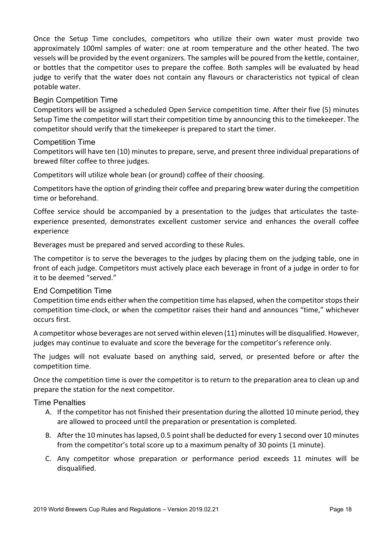Once the Setup Time concludes, competitors who utilize their own water must provide two approximately 100ml samples of water: one at room temperature and the other heated. The two vessels will be provided by the event organizers. The samples will be poured from the kettle, container, or bottles that the competitor uses to prepare the coffee. Both samples will be evaluated by head judge to verify that the water does not contain any flavours or characteristics not typical of clean potable water.

Begin Competition Time

Competitors will be assigned a scheduled Open Service competition time. After their five (5) minutes Setup Time the competitor will start their competition time by announcing this to the timekeeper. The competitor should verify that the timekeeper is prepared to start the timer.

## Competition Time

Competitors will have ten (10) minutes to prepare, serve, and present three individual preparations of brewed filter coffee to three judges.

Competitors will utilize whole bean (or ground) coffee of their choosing.

Competitors have the option of grinding their coffee and preparing brew water during the competition time or beforehand.

Coffee service should be accompanied by a presentation to the judges that articulates the tasteexperience presented, demonstrates excellent customer service and enhances the overall coffee experience

Beverages must be prepared and served according to these Rules.

The competitor is to serve the beverages to the judges by placing them on the judging table, one in front of each judge. Competitors must actively place each beverage in front of a judge in order to for it to be deemed "served."

End Competition Time

Competition time ends either when the competition time has elapsed, when the competitor stops their competition time-clock, or when the competitor raises their hand and announces "time," whichever occurs first.

A competitor whose beverages are not served within eleven (11) minutes will be disqualified. However, judges may continue to evaluate and score the beverage for the competitor's reference only.

The judges will not evaluate based on anything said, served, or presented before or after the competition time.

Once the competition time is over the competitor is to return to the preparation area to clean up and prepare the station for the next competitor.

## Time Penalties

- A. If the competitor has not finished their presentation during the allotted 10 minute period, they are allowed to proceed until the preparation or presentation is completed.
- B. After the 10 minutes has lapsed, 0.5 point shall be deducted for every 1 second over 10 minutes from the competitor's total score up to a maximum penalty of 30 points (1 minute).
- C. Any competitor whose preparation or performance period exceeds 11 minutes will be disqualified.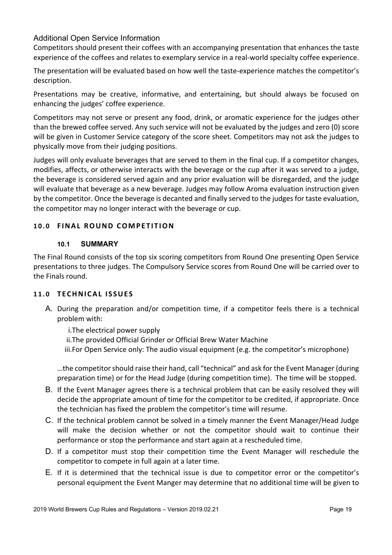## Additional Open Service Information

Competitors should present their coffees with an accompanying presentation that enhances the taste experience of the coffees and relates to exemplary service in a real-world specialty coffee experience.

The presentation will be evaluated based on how well the taste-experience matches the competitor's description.

Presentations may be creative, informative, and entertaining, but should always be focused on enhancing the judges' coffee experience.

Competitors may not serve or present any food, drink, or aromatic experience for the judges other than the brewed coffee served. Any such service will not be evaluated by the judges and zero (0) score will be given in Customer Service category of the score sheet. Competitors may not ask the judges to physically move from their judging positions.

Judges will only evaluate beverages that are served to them in the final cup. If a competitor changes, modifies, affects, or otherwise interacts with the beverage or the cup after it was served to a judge, the beverage is considered served again and any prior evaluation will be disregarded, and the judge will evaluate that beverage as a new beverage. Judges may follow Aroma evaluation instruction given by the competitor. Once the beverage is decanted and finally served to the judges for taste evaluation, the competitor may no longer interact with the beverage or cup.

## **10.0 FINAL ROUND COMPETITION**

#### **10.1 SUMMARY**

The Final Round consists of the top six scoring competitors from Round One presenting Open Service presentations to three judges. The Compulsory Service scores from Round One will be carried over to the Finals round.

#### **11.0 TECHNICAL ISSUES**

A. During the preparation and/or competition time, if a competitor feels there is a technical problem with:

i.The electrical power supply

ii.The provided Official Grinder or Official Brew Water Machine

iii.For Open Service only: The audio visual equipment (e.g. the competitor's microphone)

…the competitor should raise their hand, call "technical" and ask for the Event Manager (during preparation time) or for the Head Judge (during competition time). The time will be stopped.

- B. If the Event Manager agrees there is a technical problem that can be easily resolved they will decide the appropriate amount of time for the competitor to be credited, if appropriate. Once the technician has fixed the problem the competitor's time will resume.
- C. If the technical problem cannot be solved in a timely manner the Event Manager/Head Judge will make the decision whether or not the competitor should wait to continue their performance or stop the performance and start again at a rescheduled time.
- D. If a competitor must stop their competition time the Event Manager will reschedule the competitor to compete in full again at a later time.
- E. If it is determined that the technical issue is due to competitor error or the competitor's personal equipment the Event Manger may determine that no additional time will be given to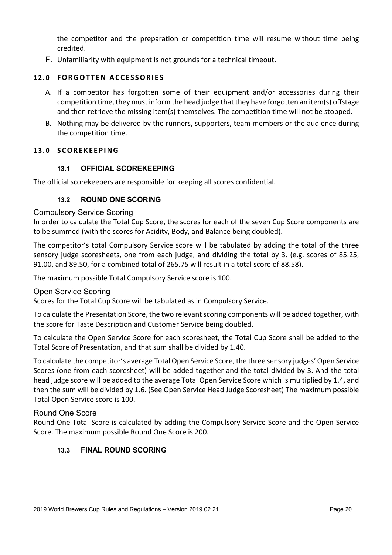the competitor and the preparation or competition time will resume without time being credited.

F. Unfamiliarity with equipment is not grounds for a technical timeout.

## **12.0 FORGOTTEN ACCESSORIE S**

- A. If a competitor has forgotten some of their equipment and/or accessories during their competition time, they must inform the head judge that they have forgotten an item(s) offstage and then retrieve the missing item(s) themselves. The competition time will not be stopped.
- B. Nothing may be delivered by the runners, supporters, team members or the audience during the competition time.

#### **13.0 SCOREKEEPING**

#### **13.1 OFFICIAL SCOREKEEPING**

The official scorekeepers are responsible for keeping all scores confidential.

#### **13.2 ROUND ONE SCORING**

#### Compulsory Service Scoring

In order to calculate the Total Cup Score, the scores for each of the seven Cup Score components are to be summed (with the scores for Acidity, Body, and Balance being doubled).

The competitor's total Compulsory Service score will be tabulated by adding the total of the three sensory judge scoresheets, one from each judge, and dividing the total by 3. (e.g. scores of 85.25, 91.00, and 89.50, for a combined total of 265.75 will result in a total score of 88.58).

The maximum possible Total Compulsory Service score is 100.

#### Open Service Scoring

Scores for the Total Cup Score will be tabulated as in Compulsory Service.

To calculate the Presentation Score, the two relevant scoring components will be added together, with the score for Taste Description and Customer Service being doubled.

To calculate the Open Service Score for each scoresheet, the Total Cup Score shall be added to the Total Score of Presentation, and that sum shall be divided by 1.40.

To calculate the competitor's average Total Open Service Score, the three sensory judges' Open Service Scores (one from each scoresheet) will be added together and the total divided by 3. And the total head judge score will be added to the average Total Open Service Score which is multiplied by 1.4, and then the sum will be divided by 1.6. (See Open Service Head Judge Scoresheet) The maximum possible Total Open Service score is 100.

#### Round One Score

Round One Total Score is calculated by adding the Compulsory Service Score and the Open Service Score. The maximum possible Round One Score is 200.

#### **13.3 FINAL ROUND SCORING**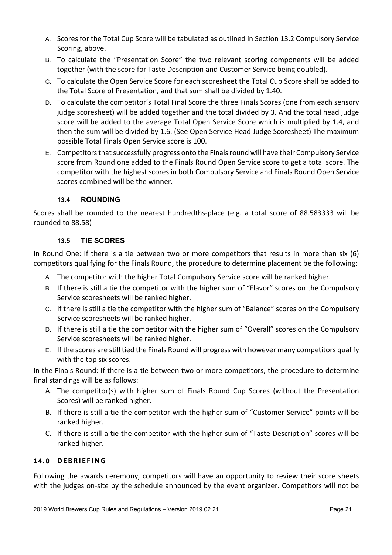- A. Scores for the Total Cup Score will be tabulated as outlined in Section 13.2 Compulsory Service Scoring, above.
- B. To calculate the "Presentation Score" the two relevant scoring components will be added together (with the score for Taste Description and Customer Service being doubled).
- C. To calculate the Open Service Score for each scoresheet the Total Cup Score shall be added to the Total Score of Presentation, and that sum shall be divided by 1.40.
- D. To calculate the competitor's Total Final Score the three Finals Scores (one from each sensory judge scoresheet) will be added together and the total divided by 3. And the total head judge score will be added to the average Total Open Service Score which is multiplied by 1.4, and then the sum will be divided by 1.6. (See Open Service Head Judge Scoresheet) The maximum possible Total Finals Open Service score is 100.
- E. Competitors that successfully progress onto the Finals round will have their Compulsory Service score from Round one added to the Finals Round Open Service score to get a total score. The competitor with the highest scores in both Compulsory Service and Finals Round Open Service scores combined will be the winner.

## **13.4 ROUNDING**

Scores shall be rounded to the nearest hundredths-place (e.g. a total score of 88.583333 will be rounded to 88.58)

## **13.5 TIE SCORES**

In Round One: If there is a tie between two or more competitors that results in more than six (6) competitors qualifying for the Finals Round, the procedure to determine placement be the following:

- A. The competitor with the higher Total Compulsory Service score will be ranked higher.
- B. If there is still a tie the competitor with the higher sum of "Flavor" scores on the Compulsory Service scoresheets will be ranked higher.
- C. If there is still a tie the competitor with the higher sum of "Balance" scores on the Compulsory Service scoresheets will be ranked higher.
- D. If there is still a tie the competitor with the higher sum of "Overall" scores on the Compulsory Service scoresheets will be ranked higher.
- E. If the scores are still tied the Finals Round will progress with however many competitors qualify with the top six scores.

In the Finals Round: If there is a tie between two or more competitors, the procedure to determine final standings will be as follows:

- A. The competitor(s) with higher sum of Finals Round Cup Scores (without the Presentation Scores) will be ranked higher.
- B. If there is still a tie the competitor with the higher sum of "Customer Service" points will be ranked higher.
- C. If there is still a tie the competitor with the higher sum of "Taste Description" scores will be ranked higher.

## **14.0 DEBRIEFING**

Following the awards ceremony, competitors will have an opportunity to review their score sheets with the judges on-site by the schedule announced by the event organizer. Competitors will not be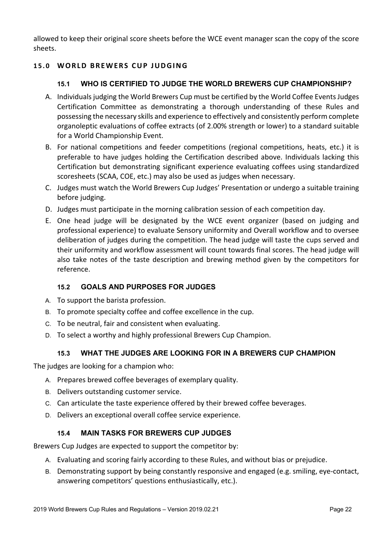allowed to keep their original score sheets before the WCE event manager scan the copy of the score sheets.

## **15.0 WORLD BREWERS CUP JUDGING**

# **15.1 WHO IS CERTIFIED TO JUDGE THE WORLD BREWERS CUP CHAMPIONSHIP?**

- A. Individuals judging the World Brewers Cup must be certified by the World Coffee Events Judges Certification Committee as demonstrating a thorough understanding of these Rules and possessing the necessary skills and experience to effectively and consistently perform complete organoleptic evaluations of coffee extracts (of 2.00% strength or lower) to a standard suitable for a World Championship Event.
- B. For national competitions and feeder competitions (regional competitions, heats, etc.) it is preferable to have judges holding the Certification described above. Individuals lacking this Certification but demonstrating significant experience evaluating coffees using standardized scoresheets (SCAA, COE, etc.) may also be used as judges when necessary.
- C. Judges must watch the World Brewers Cup Judges' Presentation or undergo a suitable training before judging.
- D. Judges must participate in the morning calibration session of each competition day.
- E. One head judge will be designated by the WCE event organizer (based on judging and professional experience) to evaluate Sensory uniformity and Overall workflow and to oversee deliberation of judges during the competition. The head judge will taste the cups served and their uniformity and workflow assessment will count towards final scores. The head judge will also take notes of the taste description and brewing method given by the competitors for reference.

## **15.2 GOALS AND PURPOSES FOR JUDGES**

- A. To support the barista profession.
- B. To promote specialty coffee and coffee excellence in the cup.
- C. To be neutral, fair and consistent when evaluating.
- D. To select a worthy and highly professional Brewers Cup Champion.

## **15.3 WHAT THE JUDGES ARE LOOKING FOR IN A BREWERS CUP CHAMPION**

The judges are looking for a champion who:

- A. Prepares brewed coffee beverages of exemplary quality.
- B. Delivers outstanding customer service.
- C. Can articulate the taste experience offered by their brewed coffee beverages.
- D. Delivers an exceptional overall coffee service experience.

## **15.4 MAIN TASKS FOR BREWERS CUP JUDGES**

Brewers Cup Judges are expected to support the competitor by:

- A. Evaluating and scoring fairly according to these Rules, and without bias or prejudice.
- B. Demonstrating support by being constantly responsive and engaged (e.g. smiling, eye-contact, answering competitors' questions enthusiastically, etc.).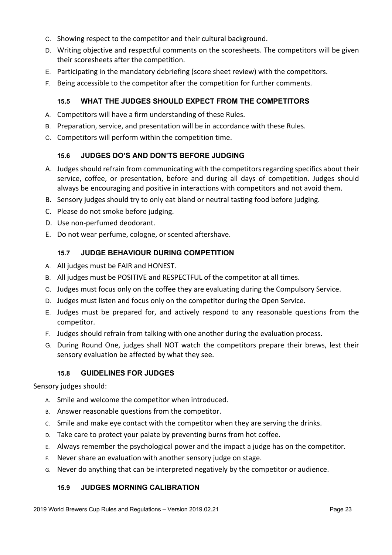- C. Showing respect to the competitor and their cultural background.
- D. Writing objective and respectful comments on the scoresheets. The competitors will be given their scoresheets after the competition.
- E. Participating in the mandatory debriefing (score sheet review) with the competitors.
- F. Being accessible to the competitor after the competition for further comments.

## **15.5 WHAT THE JUDGES SHOULD EXPECT FROM THE COMPETITORS**

- A. Competitors will have a firm understanding of these Rules.
- B. Preparation, service, and presentation will be in accordance with these Rules.
- C. Competitors will perform within the competition time.

## **15.6 JUDGES DO'S AND DON'TS BEFORE JUDGING**

- A. Judges should refrain from communicating with the competitors regarding specifics about their service, coffee, or presentation, before and during all days of competition. Judges should always be encouraging and positive in interactions with competitors and not avoid them.
- B. Sensory judges should try to only eat bland or neutral tasting food before judging.
- C. Please do not smoke before judging.
- D. Use non-perfumed deodorant.
- E. Do not wear perfume, cologne, or scented aftershave.

## **15.7 JUDGE BEHAVIOUR DURING COMPETITION**

- A. All judges must be FAIR and HONEST.
- B. All judges must be POSITIVE and RESPECTFUL of the competitor at all times.
- C. Judges must focus only on the coffee they are evaluating during the Compulsory Service.
- D. Judges must listen and focus only on the competitor during the Open Service.
- E. Judges must be prepared for, and actively respond to any reasonable questions from the competitor.
- F. Judges should refrain from talking with one another during the evaluation process.
- G. During Round One, judges shall NOT watch the competitors prepare their brews, lest their sensory evaluation be affected by what they see.

#### **15.8 GUIDELINES FOR JUDGES**

Sensory judges should:

- A. Smile and welcome the competitor when introduced.
- B. Answer reasonable questions from the competitor.
- C. Smile and make eye contact with the competitor when they are serving the drinks.
- D. Take care to protect your palate by preventing burns from hot coffee.
- E. Always remember the psychological power and the impact a judge has on the competitor.
- F. Never share an evaluation with another sensory judge on stage.
- G. Never do anything that can be interpreted negatively by the competitor or audience.

## **15.9 JUDGES MORNING CALIBRATION**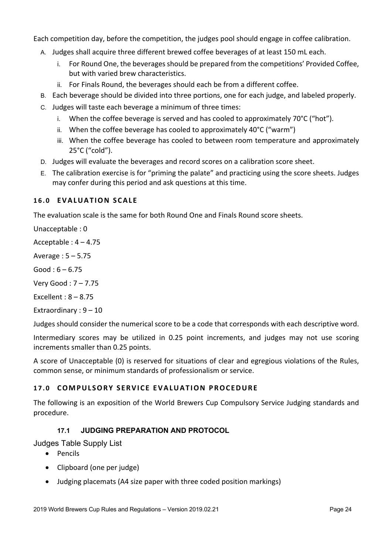Each competition day, before the competition, the judges pool should engage in coffee calibration.

- A. Judges shall acquire three different brewed coffee beverages of at least 150 mL each.
	- i. For Round One, the beverages should be prepared from the competitions' Provided Coffee, but with varied brew characteristics.
	- ii. For Finals Round, the beverages should each be from a different coffee.
- B. Each beverage should be divided into three portions, one for each judge, and labeled properly.
- C. Judges will taste each beverage a minimum of three times:
	- i. When the coffee beverage is served and has cooled to approximately 70°C ("hot").
	- ii. When the coffee beverage has cooled to approximately 40°C ("warm")
	- iii. When the coffee beverage has cooled to between room temperature and approximately 25°C ("cold").
- D. Judges will evaluate the beverages and record scores on a calibration score sheet.
- E. The calibration exercise is for "priming the palate" and practicing using the score sheets. Judges may confer during this period and ask questions at this time.

## **16.0 EVALUATION SCALE**

The evaluation scale is the same for both Round One and Finals Round score sheets.

Unacceptable : 0

Acceptable : 4 – 4.75

Average : 5 – 5.75

 $Good: 6 - 6.75$ 

Very Good : 7 – 7.75

Excellent : 8 – 8.75

Extraordinary : 9 – 10

Judges should consider the numerical score to be a code that corresponds with each descriptive word.

Intermediary scores may be utilized in 0.25 point increments, and judges may not use scoring increments smaller than 0.25 points.

A score of Unacceptable (0) is reserved for situations of clear and egregious violations of the Rules, common sense, or minimum standards of professionalism or service.

## **17.0 COMPULSORY SERVICE EVALUATION PROCEDURE**

The following is an exposition of the World Brewers Cup Compulsory Service Judging standards and procedure.

# **17.1 JUDGING PREPARATION AND PROTOCOL**

Judges Table Supply List

- Pencils
- Clipboard (one per judge)
- Judging placemats (A4 size paper with three coded position markings)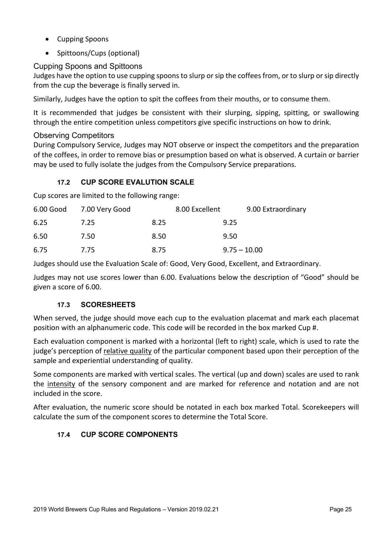- Cupping Spoons
- Spittoons/Cups (optional)

# Cupping Spoons and Spittoons

Judges have the option to use cupping spoons to slurp or sip the coffees from, or to slurp or sip directly from the cup the beverage is finally served in.

Similarly, Judges have the option to spit the coffees from their mouths, or to consume them.

It is recommended that judges be consistent with their slurping, sipping, spitting, or swallowing through the entire competition unless competitors give specific instructions on how to drink.

## Observing Competitors

During Compulsory Service, Judges may NOT observe or inspect the competitors and the preparation of the coffees, in order to remove bias or presumption based on what is observed. A curtain or barrier may be used to fully isolate the judges from the Compulsory Service preparations.

# **17.2 CUP SCORE EVALUTION SCALE**

Cup scores are limited to the following range:

|      | 6.00 Good 7.00 Very Good |      | 8.00 Excellent | 9.00 Extraordinary |  |
|------|--------------------------|------|----------------|--------------------|--|
| 6.25 | 7.25                     | 8.25 |                | 9.25               |  |
| 6.50 | 7.50                     | 8.50 |                | 9.50               |  |
| 6.75 | 7.75                     | 8.75 |                | $9.75 - 10.00$     |  |

Judges should use the Evaluation Scale of: Good, Very Good, Excellent, and Extraordinary.

Judges may not use scores lower than 6.00. Evaluations below the description of "Good" should be given a score of 6.00.

## **17.3 SCORESHEETS**

When served, the judge should move each cup to the evaluation placemat and mark each placemat position with an alphanumeric code. This code will be recorded in the box marked Cup #.

Each evaluation component is marked with a horizontal (left to right) scale, which is used to rate the judge's perception of relative quality of the particular component based upon their perception of the sample and experiential understanding of quality.

Some components are marked with vertical scales. The vertical (up and down) scales are used to rank the intensity of the sensory component and are marked for reference and notation and are not included in the score.

After evaluation, the numeric score should be notated in each box marked Total. Scorekeepers will calculate the sum of the component scores to determine the Total Score.

## **17.4 CUP SCORE COMPONENTS**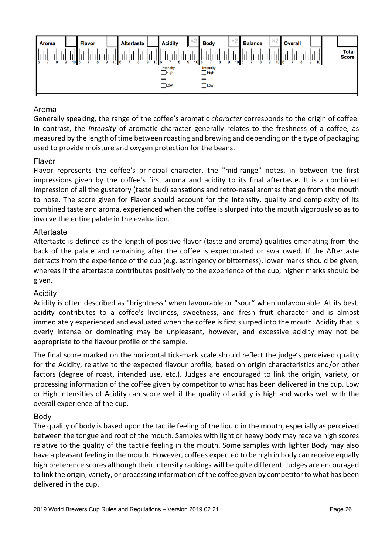

## Aroma

Generally speaking, the range of the coffee's aromatic *character* corresponds to the origin of coffee. In contrast, the *intensity* of aromatic character generally relates to the freshness of a coffee, as measured by the length of time between roasting and brewing and depending on the type of packaging used to provide moisture and oxygen protection for the beans.

## Flavor

Flavor represents the coffee's principal character, the "mid-range" notes, in between the first impressions given by the coffee's first aroma and acidity to its final aftertaste. It is a combined impression of all the gustatory (taste bud) sensations and retro-nasal aromas that go from the mouth to nose. The score given for Flavor should account for the intensity, quality and complexity of its combined taste and aroma, experienced when the coffee is slurped into the mouth vigorously so as to involve the entire palate in the evaluation.

## Aftertaste

Aftertaste is defined as the length of positive flavor (taste and aroma) qualities emanating from the back of the palate and remaining after the coffee is expectorated or swallowed. If the Aftertaste detracts from the experience of the cup (e.g. astringency or bitterness), lower marks should be given; whereas if the aftertaste contributes positively to the experience of the cup, higher marks should be given.

#### Acidity

Acidity is often described as "brightness" when favourable or "sour" when unfavourable. At its best, acidity contributes to a coffee's liveliness, sweetness, and fresh fruit character and is almost immediately experienced and evaluated when the coffee is first slurped into the mouth. Acidity that is overly intense or dominating may be unpleasant, however, and excessive acidity may not be appropriate to the flavour profile of the sample.

The final score marked on the horizontal tick-mark scale should reflect the judge's perceived quality for the Acidity, relative to the expected flavour profile, based on origin characteristics and/or other factors (degree of roast, intended use, etc.). Judges are encouraged to link the origin, variety, or processing information of the coffee given by competitor to what has been delivered in the cup. Low or High intensities of Acidity can score well if the quality of acidity is high and works well with the overall experience of the cup.

#### Body

The quality of body is based upon the tactile feeling of the liquid in the mouth, especially as perceived between the tongue and roof of the mouth. Samples with light or heavy body may receive high scores relative to the quality of the tactile feeling in the mouth. Some samples with lighter Body may also have a pleasant feeling in the mouth. However, coffees expected to be high in body can receive equally high preference scores although their intensity rankings will be quite different. Judges are encouraged to link the origin, variety, or processing information of the coffee given by competitor to what has been delivered in the cup.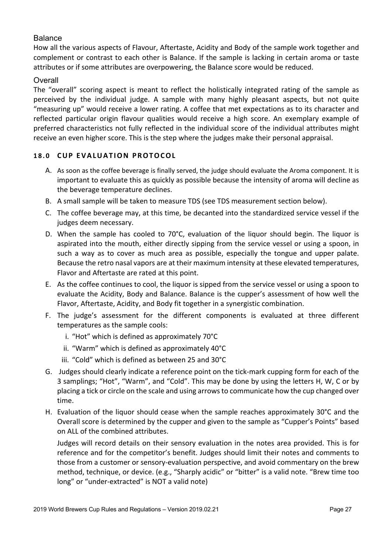## Balance

How all the various aspects of Flavour, Aftertaste, Acidity and Body of the sample work together and complement or contrast to each other is Balance. If the sample is lacking in certain aroma or taste attributes or if some attributes are overpowering, the Balance score would be reduced.

## **Overall**

The "overall" scoring aspect is meant to reflect the holistically integrated rating of the sample as perceived by the individual judge. A sample with many highly pleasant aspects, but not quite "measuring up" would receive a lower rating. A coffee that met expectations as to its character and reflected particular origin flavour qualities would receive a high score. An exemplary example of preferred characteristics not fully reflected in the individual score of the individual attributes might receive an even higher score. This is the step where the judges make their personal appraisal.

## **18.0 CUP EVALUATION PROTOCOL**

- A. As soon as the coffee beverage is finally served, the judge should evaluate the Aroma component. It is important to evaluate this as quickly as possible because the intensity of aroma will decline as the beverage temperature declines.
- B. A small sample will be taken to measure TDS (see TDS measurement section below).
- C. The coffee beverage may, at this time, be decanted into the standardized service vessel if the judges deem necessary.
- D. When the sample has cooled to 70°C, evaluation of the liquor should begin. The liquor is aspirated into the mouth, either directly sipping from the service vessel or using a spoon, in such a way as to cover as much area as possible, especially the tongue and upper palate. Because the retro nasal vapors are at their maximum intensity at these elevated temperatures, Flavor and Aftertaste are rated at this point.
- E. As the coffee continues to cool, the liquor is sipped from the service vessel or using a spoon to evaluate the Acidity, Body and Balance. Balance is the cupper's assessment of how well the Flavor, Aftertaste, Acidity, and Body fit together in a synergistic combination.
- F. The judge's assessment for the different components is evaluated at three different temperatures as the sample cools:
	- i. "Hot" which is defined as approximately 70°C
	- ii. "Warm" which is defined as approximately 40°C
	- iii. "Cold" which is defined as between 25 and 30°C
- G. Judges should clearly indicate a reference point on the tick-mark cupping form for each of the 3 samplings; "Hot", "Warm", and "Cold". This may be done by using the letters H, W, C or by placing a tick or circle on the scale and using arrows to communicate how the cup changed over time.
- H. Evaluation of the liquor should cease when the sample reaches approximately 30°C and the Overall score is determined by the cupper and given to the sample as "Cupper's Points" based on ALL of the combined attributes.

Judges will record details on their sensory evaluation in the notes area provided. This is for reference and for the competitor's benefit. Judges should limit their notes and comments to those from a customer or sensory-evaluation perspective, and avoid commentary on the brew method, technique, or device. (e.g., "Sharply acidic" or "bitter" is a valid note. "Brew time too long" or "under-extracted" is NOT a valid note)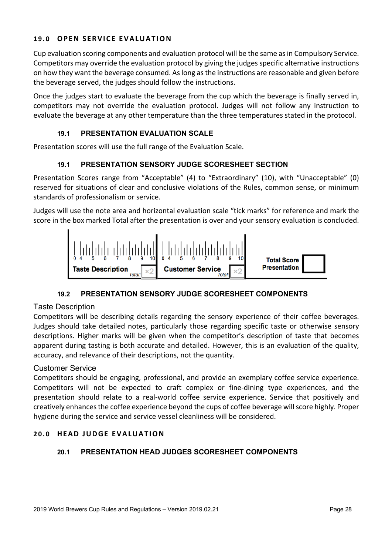## **19.0 OPEN SERVICE EVALUAT ION**

Cup evaluation scoring components and evaluation protocol will be the same as in Compulsory Service. Competitors may override the evaluation protocol by giving the judges specific alternative instructions on how they want the beverage consumed. As long as the instructions are reasonable and given before the beverage served, the judges should follow the instructions.

Once the judges start to evaluate the beverage from the cup which the beverage is finally served in, competitors may not override the evaluation protocol. Judges will not follow any instruction to evaluate the beverage at any other temperature than the three temperatures stated in the protocol.

## **19.1 PRESENTATION EVALUATION SCALE**

Presentation scores will use the full range of the Evaluation Scale.

#### **19.1 PRESENTATION SENSORY JUDGE SCORESHEET SECTION**

Presentation Scores range from "Acceptable" (4) to "Extraordinary" (10), with "Unacceptable" (0) reserved for situations of clear and conclusive violations of the Rules, common sense, or minimum standards of professionalism or service.

Judges will use the note area and horizontal evaluation scale "tick marks" for reference and mark the score in the box marked Total after the presentation is over and your sensory evaluation is concluded.



#### **19.2 PRESENTATION SENSORY JUDGE SCORESHEET COMPONENTS**

#### Taste Description

Competitors will be describing details regarding the sensory experience of their coffee beverages. Judges should take detailed notes, particularly those regarding specific taste or otherwise sensory descriptions. Higher marks will be given when the competitor's description of taste that becomes apparent during tasting is both accurate and detailed. However, this is an evaluation of the quality, accuracy, and relevance of their descriptions, not the quantity.

#### Customer Service

Competitors should be engaging, professional, and provide an exemplary coffee service experience. Competitors will not be expected to craft complex or fine-dining type experiences, and the presentation should relate to a real-world coffee service experience. Service that positively and creatively enhances the coffee experience beyond the cups of coffee beverage will score highly. Proper hygiene during the service and service vessel cleanliness will be considered.

#### **20.0 HEAD JUDGE EVALUATION**

#### **20.1 PRESENTATION HEAD JUDGES SCORESHEET COMPONENTS**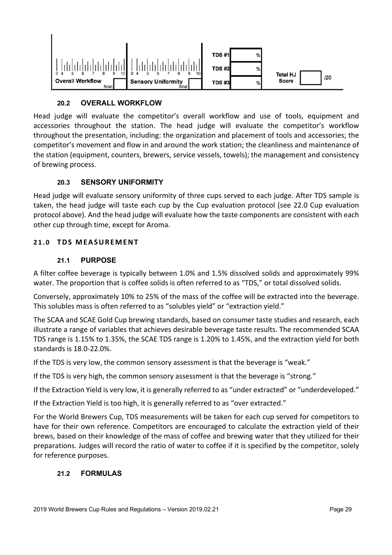

# **20.2 OVERALL WORKFLOW**

Head judge will evaluate the competitor's overall workflow and use of tools, equipment and accessories throughout the station. The head judge will evaluate the competitor's workflow throughout the presentation, including: the organization and placement of tools and accessories; the competitor's movement and flow in and around the work station; the cleanliness and maintenance of the station (equipment, counters, brewers, service vessels, towels); the management and consistency of brewing process.

## **20.3 SENSORY UNIFORMITY**

Head judge will evaluate sensory uniformity of three cups served to each judge. After TDS sample is taken, the head judge will taste each cup by the Cup evaluation protocol (see 22.0 Cup evaluation protocol above). And the head judge will evaluate how the taste components are consistent with each other cup through time, except for Aroma.

## **21.0 TDS MEASUREMENT**

## **21.1 PURPOSE**

A filter coffee beverage is typically between 1.0% and 1.5% dissolved solids and approximately 99% water. The proportion that is coffee solids is often referred to as "TDS," or total dissolved solids.

Conversely, approximately 10% to 25% of the mass of the coffee will be extracted into the beverage. This solubles mass is often referred to as "solubles yield" or "extraction yield."

The SCAA and SCAE Gold Cup brewing standards, based on consumer taste studies and research, each illustrate a range of variables that achieves desirable beverage taste results. The recommended SCAA TDS range is 1.15% to 1.35%, the SCAE TDS range is 1.20% to 1.45%, and the extraction yield for both standards is 18.0-22.0%.

If the TDS is very low, the common sensory assessment is that the beverage is "weak."

If the TDS is very high, the common sensory assessment is that the beverage is "strong."

If the Extraction Yield is very low, it is generally referred to as "under extracted" or "underdeveloped."

If the Extraction Yield is too high, it is generally referred to as "over extracted."

For the World Brewers Cup, TDS measurements will be taken for each cup served for competitors to have for their own reference. Competitors are encouraged to calculate the extraction yield of their brews, based on their knowledge of the mass of coffee and brewing water that they utilized for their preparations. Judges will record the ratio of water to coffee if it is specified by the competitor, solely for reference purposes.

## **21.2 FORMULAS**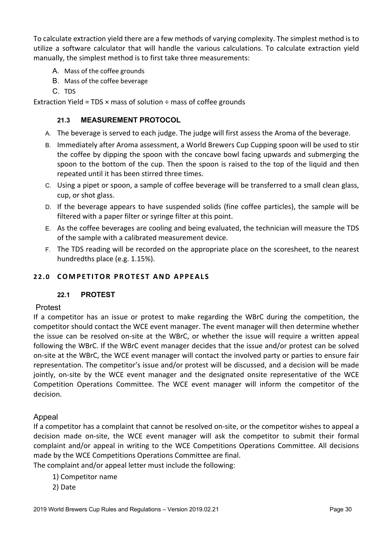To calculate extraction yield there are a few methods of varying complexity. The simplest method is to utilize a software calculator that will handle the various calculations. To calculate extraction yield manually, the simplest method is to first take three measurements:

- A. Mass of the coffee grounds
- B. Mass of the coffee beverage
- C. TDS

Extraction Yield = TDS  $\times$  mass of solution  $\div$  mass of coffee grounds

## **21.3 MEASUREMENT PROTOCOL**

- A. The beverage is served to each judge. The judge will first assess the Aroma of the beverage.
- B. Immediately after Aroma assessment, a World Brewers Cup Cupping spoon will be used to stir the coffee by dipping the spoon with the concave bowl facing upwards and submerging the spoon to the bottom of the cup. Then the spoon is raised to the top of the liquid and then repeated until it has been stirred three times.
- C. Using a pipet or spoon, a sample of coffee beverage will be transferred to a small clean glass, cup, or shot glass.
- D. If the beverage appears to have suspended solids (fine coffee particles), the sample will be filtered with a paper filter or syringe filter at this point.
- E. As the coffee beverages are cooling and being evaluated, the technician will measure the TDS of the sample with a calibrated measurement device.
- F. The TDS reading will be recorded on the appropriate place on the scoresheet, to the nearest hundredths place (e.g. 1.15%).

## **22.0 COMPETITOR PROTEST AND APPEALS**

#### **22.1 PROTEST**

#### Protest

If a competitor has an issue or protest to make regarding the WBrC during the competition, the competitor should contact the WCE event manager. The event manager will then determine whether the issue can be resolved on-site at the WBrC, or whether the issue will require a written appeal following the WBrC. If the WBrC event manager decides that the issue and/or protest can be solved on-site at the WBrC, the WCE event manager will contact the involved party or parties to ensure fair representation. The competitor's issue and/or protest will be discussed, and a decision will be made jointly, on-site by the WCE event manager and the designated onsite representative of the WCE Competition Operations Committee. The WCE event manager will inform the competitor of the decision.

## Appeal

If a competitor has a complaint that cannot be resolved on-site, or the competitor wishes to appeal a decision made on-site, the WCE event manager will ask the competitor to submit their formal complaint and/or appeal in writing to the WCE Competitions Operations Committee. All decisions made by the WCE Competitions Operations Committee are final.

The complaint and/or appeal letter must include the following:

- 1) Competitor name
- 2) Date